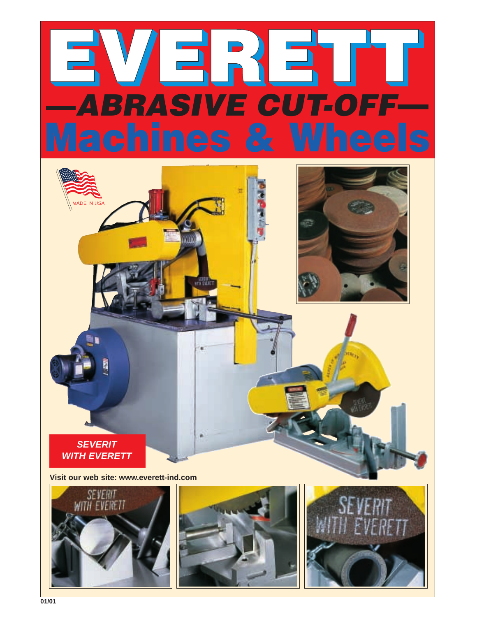



**Visit our web site: www.everett-ind.com**





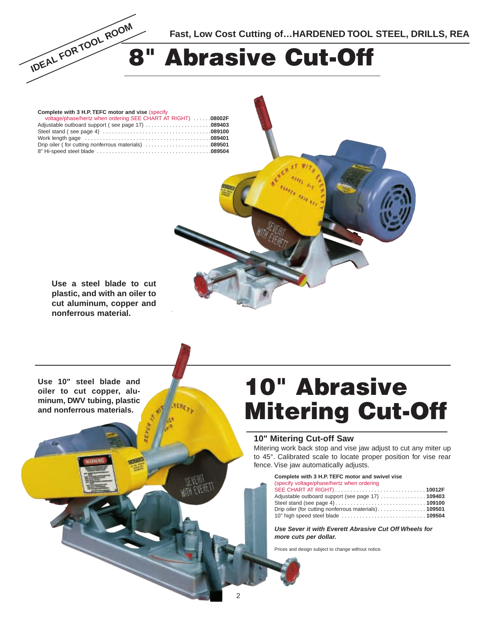

| Complete with 3 H.P. TEFC motor and vise (specify             |  |
|---------------------------------------------------------------|--|
| voltage/phase/hertz when ordering SEE CHART AT RIGHT)  08002F |  |
| Adjustable outboard support (see page 17) 089403              |  |
|                                                               |  |
|                                                               |  |
|                                                               |  |
|                                                               |  |

**Use a steel blade to cut plastic, and with an oiler to cut aluminum, copper and nonferrous material.**

**Use 10" steel blade and oiler to cut copper, aluminum, DWV tubing, plastic and nonferrous materials.**

# **10" Abrasive Mitering Cut-Off**

#### **10" Mitering Cut-off Saw**

Mitering work back stop and vise jaw adjust to cut any miter up to 45°. Calibrated scale to locate proper position for vise rear fence. Vise jaw automatically adjusts.

**Complete with 3 H.P. TEFC motor and swivel vise**

| (specify voltage/phase/hertz when ordering           |  |
|------------------------------------------------------|--|
|                                                      |  |
| Adjustable outboard support (see page 17)  109403    |  |
|                                                      |  |
| Drip oiler (for cutting nonferrous materials) 109501 |  |
| 10" high speed steel blade  109504                   |  |

**Use Sever it with Everett Abrasive Cut Off Wheels for more cuts per dollar.**

Prices and design subject to change without notice.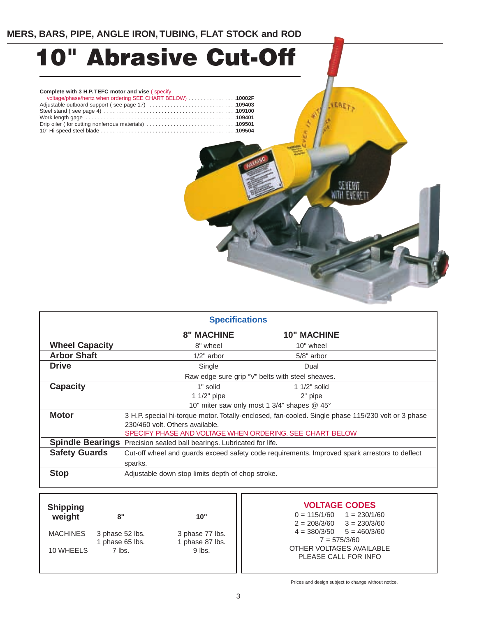# **10" Abrasive Cut-Off**

#### **Complete with 3 H.P. TEFC motor and vise** ( specify

| voltage/phase/hertz when ordering SEE CHART BELOW) 10002F |  |
|-----------------------------------------------------------|--|
| Adjustable outboard support (see page 17) 109403          |  |
|                                                           |  |
|                                                           |  |
| Drip oiler (for cutting nonferrous materials) 109501      |  |
|                                                           |  |



VERET

| <b>Specifications</b> |                                                                                                    |                                                  |  |
|-----------------------|----------------------------------------------------------------------------------------------------|--------------------------------------------------|--|
|                       | <b>8" MACHINE</b>                                                                                  | <b>10" MACHINE</b>                               |  |
| <b>Wheel Capacity</b> | 8" wheel                                                                                           | 10" wheel                                        |  |
| <b>Arbor Shaft</b>    | $1/2$ " arbor                                                                                      | $5/8"$ arbor                                     |  |
| <b>Drive</b>          | Single                                                                                             | Dual                                             |  |
|                       |                                                                                                    | Raw edge sure grip "V" belts with steel sheaves. |  |
| <b>Capacity</b>       | 1" solid                                                                                           | 1 $1/2$ " solid                                  |  |
|                       | 1 $1/2$ " pipe                                                                                     | 2" pipe                                          |  |
|                       |                                                                                                    | 10" miter saw only most 1 3/4" shapes @ 45°      |  |
| <b>Motor</b>          | 3 H.P. special hi-torque motor. Totally-enclosed, fan-cooled. Single phase 115/230 volt or 3 phase |                                                  |  |
|                       | 230/460 volt. Others available.                                                                    |                                                  |  |
|                       | SPECIFY PHASE AND VOLTAGE WHEN ORDERING. SEE CHART BELOW                                           |                                                  |  |
|                       | Spindle Bearings Precision sealed ball bearings. Lubricated for life.                              |                                                  |  |
| <b>Safety Guards</b>  | Cut-off wheel and guards exceed safety code requirements. Improved spark arrestors to deflect      |                                                  |  |
|                       | sparks.                                                                                            |                                                  |  |
| <b>Stop</b>           | Adjustable down stop limits depth of chop stroke.                                                  |                                                  |  |
|                       |                                                                                                    |                                                  |  |

### **8" 10"** MACHINES 3 phase 52 lbs. 3 phase 77 lbs.<br>1 phase 65 lbs. 3 1 phase 87 lbs. 1 phase 65 lbs. 1 phase 87<br>7 lbs. 9 lbs. 10 WHEELS **Shipping weight**

**VOLTAGE CODES**

 $0 = 115/1/60$   $1 = 230/1/60$ <br> $2 = 208/3/60$   $3 = 230/3/60$  $3 = 230/3/60$  $4 = 380/3/50$   $5 = 460/3/60$  $7 = 575/3/60$ OTHER VOLTAGES AVAILABLE PLEASE CALL FOR INFO

Prices and design subject to change without notice.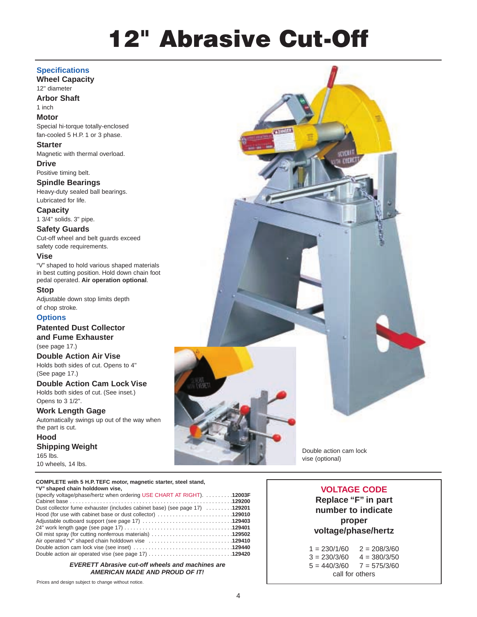# **12" Abrasive Cut-Off**

#### **Specifications**

**Wheel Capacity** 12" diameter

**Arbor Shaft** 1 inch

#### **Motor**

Special hi-torque totally-enclosed fan-cooled 5 H.P. 1 or 3 phase.

**Starter** Magnetic with thermal overload.

**Drive** Positive timing belt.

**Spindle Bearings** Heavy-duty sealed ball bearings. Lubricated for life.

**Capacity** 1 3/4" solids. 3" pipe.

### **Safety Guards**

Cut-off wheel and belt guards exceed safety code requirements.

#### **Vise**

"V" shaped to hold various shaped materials in best cutting position. Hold down chain foot pedal operated. **Air operation optional**.

**Stop**

Adjustable down stop limits depth of chop stroke.

#### **Options**

**Patented Dust Collector**

**and Fume Exhauster** (see page 17.)

**Double Action Air Vise** Holds both sides of cut. Opens to 4" (See page 17.)

**Double Action Cam Lock Vise** Holds both sides of cut. (See inset.)

Opens to 3 1/2".

#### **Work Length Gage**

Automatically swings up out of the way when the part is cut.

**Hood Shipping Weight** 165 lbs. 10 wheels, 14 lbs.

**COMPLETE with 5 H.P. TEFC motor, magnetic starter, steel stand, "V" shaped chain holddown vise,**

| V SHAUGU CHAHI HUNUUVIII VISG.                                              |  |
|-----------------------------------------------------------------------------|--|
| (specify voltage/phase/hertz when ordering USE CHART AT RIGHT). 12003F      |  |
|                                                                             |  |
| Dust collector fume exhauster (includes cabinet base) (see page 17)  129201 |  |
| Hood (for use with cabinet base or dust collector) 129010                   |  |
| Adjustable outboard support (see page 17) 129403                            |  |
|                                                                             |  |
|                                                                             |  |
| Air operated "V" shaped chain holddown vise 129410                          |  |
|                                                                             |  |
|                                                                             |  |

**EVERETT Abrasive cut-off wheels and machines are AMERICAN MADE AND PROUD OF IT!**

Prices and design subject to change without notice.



Double action cam lock vise (optional)

### **VOLTAGE CODE**

**Replace "F" in part number to indicate proper voltage/phase/hertz**

 $1 = 230/1/60$   $2 = 208/3/60$  $3 = 230/3/60$   $4 = 380/3/50$  $5 = 440/3/60$   $7 = 575/3/60$ call for others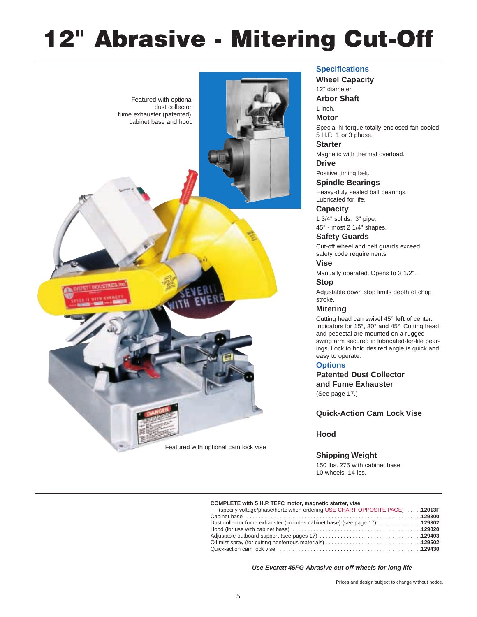# **12" Abrasive - Mitering Cut-Off**



#### **Specifications**

**Wheel Capacity** 12" diameter. **Arbor Shaft** 1 inch. **Motor** Special hi-torque totally-enclosed fan-cooled 5 H.P. 1 or 3 phase. **Starter** Magnetic with thermal overload. **Drive** Positive timing belt. **Spindle Bearings** Heavy-duty sealed ball bearings. Lubricated for life. **Capacity**

1 3/4" solids. 3" pipe. 45° - most 2 1/4" shapes.

**Safety Guards** Cut-off wheel and belt guards exceed safety code requirements.

**Vise**

Manually operated. Opens to 3 1/2".

#### **Stop**

Adjustable down stop limits depth of chop stroke.

#### **Mitering**

Cutting head can swivel 45° **left** of center. Indicators for 15°, 30° and 45°. Cutting head and pedestal are mounted on a rugged swing arm secured in lubricated-for-life bearings. Lock to hold desired angle is quick and easy to operate.

#### **Options**

**Patented Dust Collector and Fume Exhauster** (See page 17.)

**Quick-Action Cam Lock Vise**

#### **Hood**

#### **Shipping Weight**

150 lbs. 275 with cabinet base. 10 wheels, 14 lbs.

#### **COMPLETE with 5 H.P. TEFC motor, magnetic starter, vise**

| (specify voltage/phase/hertz when ordering USE CHART OPPOSITE PAGE)  12013F |  |
|-----------------------------------------------------------------------------|--|
|                                                                             |  |
| Dust collector fume exhauster (includes cabinet base) (see page 17) 129302  |  |
|                                                                             |  |
|                                                                             |  |
|                                                                             |  |
|                                                                             |  |

**Use Everett 45FG Abrasive cut-off wheels for long life**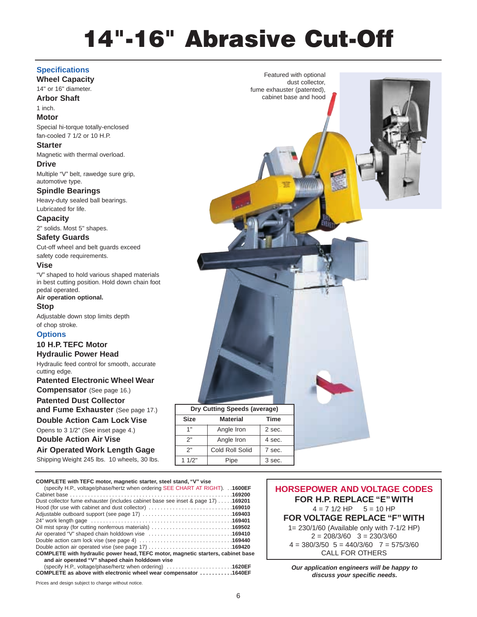# **14"-16" Abrasive Cut-Off**

#### **Specifications**

**Wheel Capacity**

14" or 16" diameter. **Arbor Shaft**

1 inch.

#### **Motor**

Special hi-torque totally-enclosed fan-cooled 7 1/2 or 10 H.P.

#### **Starter**

Magnetic with thermal overload. **Drive**

Multiple "V" belt, rawedge sure grip, automotive type.

#### **Spindle Bearings**

Heavy-duty sealed ball bearings. Lubricated for life.

**Capacity**

2" solids. Most 5" shapes.

#### **Safety Guards**

Cut-off wheel and belt guards exceed safety code requirements.

#### **Vise**

"V" shaped to hold various shaped materials in best cutting position. Hold down chain foot pedal operated.

**Air operation optional.**

**Stop**

Adjustable down stop limits depth of chop stroke.

#### **Options**

## **10 H.P. TEFC Motor**

**Hydraulic Power Head** Hydraulic feed control for smooth, accurate cutting edge.

**Patented Electronic Wheel Wear**

**Compensator** (See page 16.)

### **Patented Dust Collector**

**and Fume Exhauster** (See page 17.) **Double Action Cam Lock Vise**

### Opens to 3 1/2" (See inset page 4.)

**Double Action Air Vise**

**Air Operated Work Length Gage**

Shipping Weight 245 lbs. 10 wheels, 30 lbs.

### **COMPLETE with TEFC motor, magnetic starter, steel stand, "V" vise**

| (specify H.P., voltage/phase/hertz when ordering SEE CHART AT RIGHT). 1600EF     |  |
|----------------------------------------------------------------------------------|--|
|                                                                                  |  |
| Dust collector fume exhauster (includes cabinet base see inset & page 17) 169201 |  |
| Hood (for use with cabinet and dust collector) 169010                            |  |
| Adjustable outboard support (see page 17) 169403                                 |  |
|                                                                                  |  |
| Oil mist spray (for cutting nonferrous materials) 169502                         |  |
| Air operated "V" shaped chain holddown vise 169410                               |  |
|                                                                                  |  |
| Double action air operated vise (see page 17) 169420                             |  |
| COMPLETE with hydraulic power head, TEFC motor, magnetic starters, cabinet base  |  |
| and air operated "V" shaped chain holddown vise                                  |  |

(specify H.P., voltage/phase/hertz when ordering) . . . . . . . . . . . . . . . . . . . . . .**1620EF**

**COMPLETE as above with electronic wheel wear compensator . . . . . . . . . . .1640EF Our application engineers will be happy to** 

Prices and design subject to change without notice.

Featured with optional dust collector, fume exhauster (patented), cabinet base and hood

| Dry Cutting Speeds (average)   |                 |             |  |
|--------------------------------|-----------------|-------------|--|
| <b>Size</b><br><b>Material</b> |                 | <b>Time</b> |  |
| 1"                             | Angle Iron      | 2 sec.      |  |
| 2"                             | Angle Iron      | 4 sec.      |  |
| 2"                             | Cold Roll Solid | 7 sec.      |  |
| 11/2"                          | Pipe            | 3 sec.      |  |

**HORSEPOWER AND VOLTAGE CODES FOR H.P. REPLACE "E" WITH**  $4 = 7$  1/2 HP  $5 = 10$  HP **FOR VOLTAGE REPLACE "F" WITH** 1= 230/1/60 (Available only with 7-1/2 HP)  $2 = 208/3/60$   $3 = 230/3/60$  $4 = 380/3/50$   $5 = 440/3/60$   $7 = 575/3/60$ CALL FOR OTHERS

**discuss your specific needs.**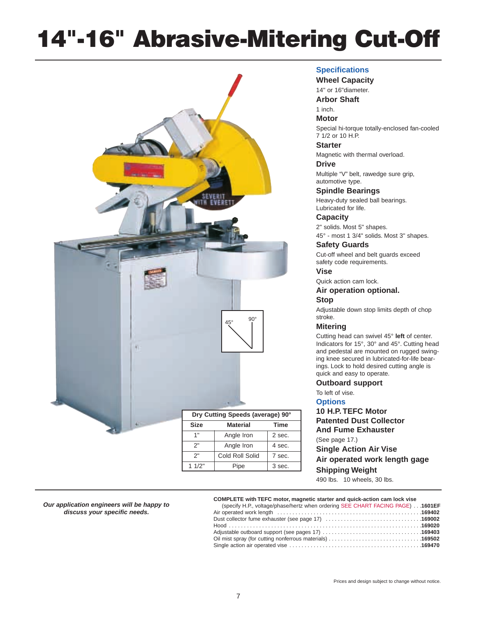# **14"-16" Abrasive-Mitering Cut-Off**



#### **Specifications**

**Wheel Capacity**

14" or 16"diameter.

**Arbor Shaft**

1 inch. **Motor**

Special hi-torque totally-enclosed fan-cooled 7 1/2 or 10 H.P.

**Starter**

Magnetic with thermal overload.

**Drive**

Multiple "V" belt, rawedge sure grip, automotive type.

**Spindle Bearings** Heavy-duty sealed ball bearings. Lubricated for life.

**Capacity** 2" solids. Most 5" shapes. 45° - most 1 3/4" solids. Most 3" shapes.

**Safety Guards**

Cut-off wheel and belt guards exceed safety code requirements.

**Vise**

Quick action cam lock.

#### **Air operation optional.**

**Stop**

Adjustable down stop limits depth of chop stroke.

#### **Mitering**

Cutting head can swivel 45° **left** of center. Indicators for 15°, 30° and 45°. Cutting head and pedestal are mounted on rugged swinging knee secured in lubricated-for-life bearings. Lock to hold desired cutting angle is quick and easy to operate.

#### **Outboard support**

To left of vise.

**Options**

**10 H.P. TEFC Motor Patented Dust Collector And Fume Exhauster** (See page 17.) **Single Action Air Vise Air operated work length gage Shipping Weight**

490 lbs. 10 wheels, 30 lbs.

**Our application engineers will be happy to discuss your specific needs.**

#### **COMPLETE with TEFC motor, magnetic starter and quick-action cam lock vise**

| (specify H.P., voltage/phase/hertz when ordering SEE CHART FACING PAGE)  1601EF |  |
|---------------------------------------------------------------------------------|--|
|                                                                                 |  |
|                                                                                 |  |
|                                                                                 |  |
|                                                                                 |  |
|                                                                                 |  |
|                                                                                 |  |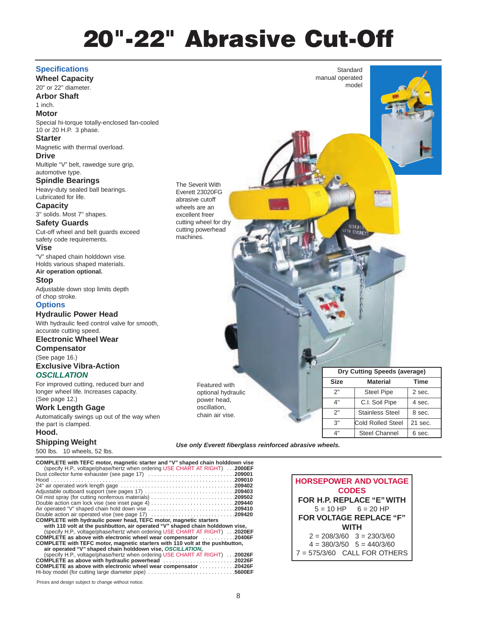# **20"-22" Abrasive Cut-Off**

#### **Specifications**

**Wheel Capacity** 20" or 22" diameter.

**Arbor Shaft** 1 inch.

#### **Motor**

Special hi-torque totally-enclosed fan-cooled 10 or 20 H.P. 3 phase.

#### **Starter**

Magnetic with thermal overload.

**Drive** Multiple "V" belt, rawedge sure grip,

automotive type. **Spindle Bearings**

Heavy-duty sealed ball bearings. Lubricated for life.

#### **Capacity**

3" solids. Most 7" shapes.

### **Safety Guards**

Cut-off wheel and belt guards exceed safety code requirements.

#### **Vise**

"V" shaped chain holddown vise. Holds various shaped materials. **Air operation optional.**

#### **Stop**

Adjustable down stop limits depth of chop stroke.

#### **Options**

#### **Hydraulic Power Head**

With hydraulic feed control valve for smooth, accurate cutting speed.

#### **Electronic Wheel Wear**

**Compensator**

#### (See page 16.) **Exclusive Vibra-Action OSCILLATION**

For improved cutting, reduced burr and longer wheel life. Increases capacity. (See page 12.)

#### **Work Length Gage**

Automatically swings up out of the way when the part is clamped.

#### **Hood.**

### **Shipping Weight**

500 lbs. 10 wheels, 52 lbs.

**COMPLETE with TEFC motor, magnetic starter and "V" shaped chain holddown vise** (specify H.P., voltage/phase/hertz when ordering USE CHART AT RIGHT) . . .**2000EF** Dust collector fume exhauster (see page 17) . . . . . . . . . . . . . . . . . . . . . . . . . . . . .**209001** Hood . . . . . . . . . . . . . . . . . . . . . . . . . . . . . . . . . . . . . . . . . . . . . . . . . . . . . . . . . . . . .**209010** 24" air operated work length gage . . . . . . . . . . . . . . . . . . . . . . . . . . . . . . . . . . . . . .**209402** Adjustable outboard support (see pages 17) . . . . . . . . . . . . . . . . . . . . . . . . . . . . . .**209403** Oil mist spray (for cutting nonferrous materials) . . . . . . . . . . . . . . . . . . . . . . . . . . . .**209502** Double action cam lock vise (see inset page 4) . . . . . . . . . . . . . . . . . . . . . . . . . . . .**209440** Air operated "V" shaped chain hold down vise . . . . . . . . . . . . . . . . . . . . . . . . . . . . .**209410** Double action air operated vise (see page 17) . . . . . . . . . . . . . . . . . . . . . . . . . . . .**209420 COMPLETE with hydraulic power head, TEFC motor, magnetic starters with 110 volt at the pushbutton, air operated "V" shaped chain holddown vise,** (specify H.P., voltage/phase/hertz when ordering USE CHART AT RIGHT) . . .**2020EF COMPLETE as above with electronic wheel wear compensator** . . . . . . . . . . .**20406F COMPLETE with TEFC motor, magnetic starters with 110 volt at the pushbutton, air operated "V" shaped chain holddown vise, OSCILLATION,** (specify H.P., voltage/phase/hertz when ordering USE CHART AT RIGHT) . . .**20026F COMPLETE as above with hydraulic powerhead** . . . . . . . . . . . . . . . . . . **COMPLETE as above with electronic wheel wear compensator** . . . . . . . . . . . .**20426F** Hi-boy model (for cutting large diameter pipe)  $\dots$ .

**HORSEPOWER AND VOLTAGE CODES FOR H.P. REPLACE "E" WITH**  $5 = 10$  HP  $6 = 20$  HP **FOR VOLTAGE REPLACE "F" WITH**  $2 = 208/3/60$   $3 = 230/3/60$ 

**Standard** manual operated model

 $4 = 380/3/50$   $5 = 440/3/60$ 7 = 575/3/60 CALL FOR OTHERS

The Severit With Everett 23020FG abrasive cutoff wheels are an excellent freer cutting wheel for dry cutting powerhead machines.

> Featured with optional hydraulic power head, oscillation, chain air vise.

| Prices and design subject to change without notice. |  |  |
|-----------------------------------------------------|--|--|
|-----------------------------------------------------|--|--|

| Dry Cutting Speeds (average) |                          |             |
|------------------------------|--------------------------|-------------|
| <b>Size</b>                  | <b>Material</b>          | <b>Time</b> |
| 2"                           | <b>Steel Pipe</b>        | 2 sec.      |
| 4"                           | C.I. Soil Pipe           | 4 sec.      |
| 2"                           | <b>Stainless Steel</b>   | 8 sec.      |
| 3"                           | <b>Cold Rolled Steel</b> | 21 sec.     |

4" Steel Channel 6 sec.

**Use only Everett fiberglass reinforced abrasive wheels.**

8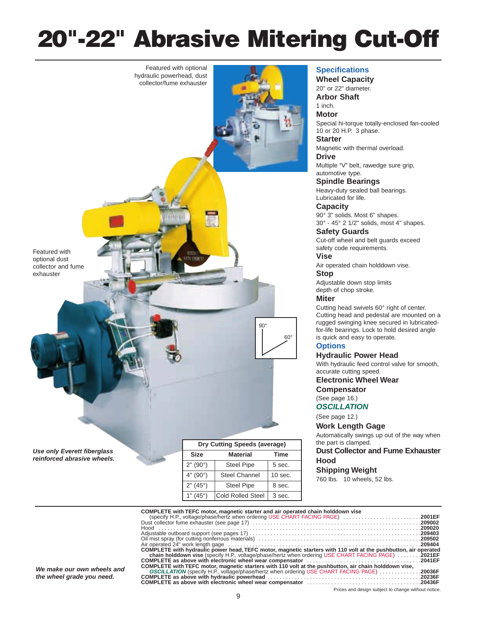# **20"-22" Abrasive Mitering Cut-Off**



**Use only Everett fiberglass reinforced abrasive wheels.**

| Dry Cutting Speeds (average) |                          |           |
|------------------------------|--------------------------|-----------|
| <b>Size</b>                  | <b>Material</b>          | Time      |
| 2" (90°)                     | <b>Steel Pipe</b>        | 5 sec.    |
| 4" (90°)                     | <b>Steel Channel</b>     | $10$ sec. |
| 2" (45°)                     | <b>Steel Pipe</b>        | 8 sec.    |
| (45°)                        | <b>Cold Rolled Steel</b> | 3 sec.    |

#### **Specifications**

**Wheel Capacity** 20" or 22" diameter. **Arbor Shaft** 1 inch. **Motor** Special hi-torque totally-enclosed fan-cooled 10 or 20 H.P. 3 phase. **Starter** Magnetic with thermal overload.

**Drive**

Multiple "V" belt, rawedge sure grip, automotive type.

**Spindle Bearings** Heavy-duty sealed ball bearings. Lubricated for life.

**Capacity** 90° 3" solids. Most 6" shapes. 30° - 45° 2 1/2" solids, most 4" shapes.

**Safety Guards** Cut-off wheel and belt guards exceed safety code requirements.

**Vise** Air operated chain holddown vise.

**Stop**

Adjustable down stop limits depth of chop stroke.

#### **Miter**

Cutting head swivels 60° right of center. Cutting head and pedestal are mounted on a rugged swinging knee secured in lubricatedfor-life bearings. Lock to hold desired angle is quick and easy to operate.

#### **Options**

#### **Hydraulic Power Head**

With hydraulic feed control valve for smooth, accurate cutting speed.

**Electronic Wheel Wear**

**Compensator**

(See page 16.)

#### **OSCILLATION**

(See page 12.)

**Work Length Gage**

Automatically swings up out of the way when the part is clamped.

#### **Dust Collector and Fume Exhauster Hood**

#### **Shipping Weight**

760 lbs. 10 wheels, 52 lbs.

|    | COMPLETE with TEFC motor, magnetic starter and air operated chain holddown vise                                 |  |
|----|-----------------------------------------------------------------------------------------------------------------|--|
|    | (specify H.P., voltage/phase/hertz when ordering USE CHART FACING PAGE) 2001EF                                  |  |
|    |                                                                                                                 |  |
|    |                                                                                                                 |  |
|    |                                                                                                                 |  |
|    |                                                                                                                 |  |
|    |                                                                                                                 |  |
|    | COMPLETE with hydraulic power head, TEFC motor, magnetic starters with 110 volt at the pushbutton, air operated |  |
|    | chain holddown vise (specify H.P., voltage/phase/hertz when ordering USE CHART FACING PAGE)  2021EF             |  |
|    |                                                                                                                 |  |
| nd | COMPLETE with TEFC motor, magnetic starters with 110 yolt at the pushbutton, air chain holddown vise,           |  |
|    | OSCILLATION (specify H.P., voltage/phase/hertz when ordering USE CHART FACING PAGE) 20036F                      |  |
|    |                                                                                                                 |  |
|    |                                                                                                                 |  |

**We make our own wheels a the wheel grade you need.**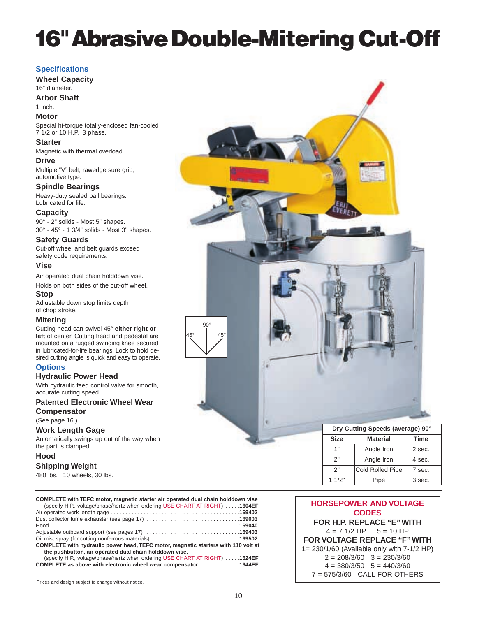# **16" Abrasive Double-Mitering Cut-Off**

#### **Specifications**

**Wheel Capacity** 16" diameter.

**Arbor Shaft**

#### 1 inch. **Motor**

Special hi-torque totally-enclosed fan-cooled 7 1/2 or 10 H.P. 3 phase.

#### **Starter**

Magnetic with thermal overload.

**Drive**

Multiple "V" belt, rawedge sure grip, automotive type.

**Spindle Bearings** Heavy-duty sealed ball bearings. Lubricated for life.

#### **Capacity**

90° - 2" solids - Most 5" shapes. 30° - 45° - 1 3/4" solids - Most 3" shapes.

#### **Safety Guards**

Cut-off wheel and belt guards exceed safety code requirements.

#### **Vise**

Air operated dual chain holddown vise. Holds on both sides of the cut-off wheel.

#### **Stop**

Adjustable down stop limits depth of chop stroke.

#### **Mitering**

Cutting head can swivel 45° **either right or left** of center. Cutting head and pedestal are mounted on a rugged swinging knee secured in lubricated-for-life bearings. Lock to hold desired cutting angle is quick and easy to operate.

#### **Options**

**Hydraulic Power Head**

With hydraulic feed control valve for smooth, accurate cutting speed.

#### **Patented Electronic Wheel Wear Compensator**

(See page 16.)

#### **Work Length Gage**

Automatically swings up out of the way when the part is clamped.

#### **Hood**

#### **Shipping Weight**

480 lbs. 10 wheels, 30 lbs.

| COMPLETE with TEFC motor, magnetic starter air operated dual chain holddown vise<br>(specify H.P., voltage/phase/hertz when ordering USE CHART AT RIGHT)  1604EF |  |
|------------------------------------------------------------------------------------------------------------------------------------------------------------------|--|
|                                                                                                                                                                  |  |
|                                                                                                                                                                  |  |
|                                                                                                                                                                  |  |
|                                                                                                                                                                  |  |
|                                                                                                                                                                  |  |
| COMPLETE with hydraulic power head, TEFC motor, magnetic starters with 110 volt at                                                                               |  |
| the pushbutton, air operated dual chain holddown vise,                                                                                                           |  |
| (specify H.P., voltage/phase/hertz when ordering USE CHART AT RIGHT) 1624EF                                                                                      |  |
| OOMBLETE as abany with abatas of which was a consequence of the contract of the ACALEE.                                                                          |  |

**COMPLETE as above with electronic wheel wear compensator** 



#### **HORSEPOWER AND VOLTAGE CODES FOR H.P. REPLACE "E" WITH**  $4 = 7$  1/2 HP  $5 = 10$  HP **FOR VOLTAGE REPLACE "F" WITH** 1= 230/1/60 (Available only with 7-1/2 HP)  $2 = 208/3/60$   $3 = 230/3/60$  $4 = 380/3/50$   $5 = 440/3/60$ 7 = 575/3/60 CALL FOR OTHERS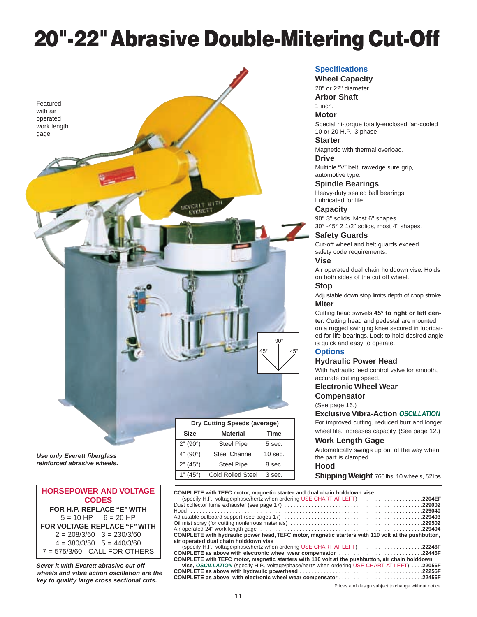# **20"-22"Abrasive Double-Mitering Cut-Off**



### **Dry Cutting Speeds (average) Size Material Time** 2" (90°) | Steel Pipe | 5 sec. 4" (90°) Steel Channel 10 sec. 2" (45°) | Steel Pipe | 8 sec. 1" (45°) Cold Rolled Steel | 3 sec.

#### **Specifications**

**Wheel Capacity**

20" or 22" diameter.

**Arbor Shaft**

#### 1 inch. **Motor**

Special hi-torque totally-enclosed fan-cooled 10 or 20 H.P. 3 phase

#### **Starter**

Magnetic with thermal overload.

#### **Drive**

Multiple "V" belt, rawedge sure grip, automotive type.

#### **Spindle Bearings**

Heavy-duty sealed ball bearings. Lubricated for life.

#### **Capacity**

90° 3" solids. Most 6" shapes. 30° -45° 2 1/2" solids, most 4" shapes.

#### **Safety Guards**

Cut-off wheel and belt guards exceed safety code requirements.

#### **Vise**

Air operated dual chain holddown vise. Holds on both sides of the cut off wheel.

#### **Stop**

Adjustable down stop limits depth of chop stroke. **Miter**

Cutting head swivels **45° to right or left center.** Cutting head and pedestal are mounted on a rugged swinging knee secured in lubricated-for-life bearings. Lock to hold desired angle is quick and easy to operate.

#### **Options**

#### **Hydraulic Power Head**

With hydraulic feed control valve for smooth, accurate cutting speed.

#### **Electronic Wheel Wear**

**Compensator**

(See page 16.)

#### **Exclusive Vibra-Action OSCILLATION**

For improved cutting, reduced burr and longer wheel life. Increases capacity. (See page 12.)

#### **Work Length Gage**

Automatically swings up out of the way when the part is clamped.

#### **Hood**

**Shipping Weight 760 lbs. 10 wheels, 52 lbs.** 

**Use only Everett fiberglass reinforced abrasive wheels.**

#### **HORSEPOWER AND VOLTAGE CODES FOR H.P. REPLACE "E" WITH**  $5 = 10$  HP  $6 = 20$  HP **FOR VOLTAGE REPLACE "F" WITH**  $2 = 208/3/60$   $3 = 230/3/60$  $4 = 380/3/50$   $5 = 440/3/60$ 7 = 575/3/60 CALL FOR OTHERS

**Sever it with Everett abrasive cut off wheels and vibra action oscillation are the key to quality large cross sectional cuts.**

| Dry Cutting Speeds (average) |                      |             |
|------------------------------|----------------------|-------------|
| <b>Size</b>                  | <b>Material</b>      | <b>Time</b> |
| 2" (90°)                     | <b>Steel Pipe</b>    | 5 sec.      |
| 4" (90°)                     | <b>Steel Channel</b> | $10$ sec.   |
| 2" (45°)                     | <b>Steel Pipe</b>    | 8 sec.      |
| 1" (45°)                     | Cold Rolled Steel    | 3 sec.      |

#### **COMPLETE with TEFC motor, magnetic starter and dual chain holddown vise** (specify H.P., voltage/phase/hertz when ordering USE CHART AT LEFT) . . . . . . . . . . . . . . . . . . . . .**2204EF** Dust collector fume exhauster (see page 17) . . . . . . . . . . . . . . . . . . . . . . . . . . . . . . . . . . . . . . . . . . . . . .**229002**

Hood . . . . . . . . . . . . . . . . . . . . . . . . . . . . . . . . . . . . . . . . . . . . . . . . . . . . . . . . . . . . . . . . . . . . . . . . . . . . .**229040** Adjustable outboard support (see pages 17) . . . . . . . . . . . . . . . . . . . . . . . . . . . . . . . . . . . . . . . . . . . . . .**229403** Oil mist spray (for cutting nonferrous materials)<br>Air operated 24" work length gage **229502**<br>229404 . Air operated 24" work length gage . **COMPLETE with hydraulic power head, TEFC motor, magnetic starters with 110 volt at the pushbutton,**

**air operated dual chain holddown vise** (specify H.P., voltage/phase/hertz when ordering USE CHART AT LEFT) . . . . . . . . . . . . . . . . . . . . .**22246F**

**COMPLETE as above with electronic wheel wear compensator ...... COMPLETE with TEFC motor, magnetic starters with 110 volt at the pushbutton, air chain holddown vise, OSCILLATION** (specify H.P., voltage/phase/hertz when ordering USE CHART AT LEFT) . . . .**22056F**

**COMPLETE as above with hydraulic powerhead** . . . . . . . . . . . . . . . . . . . . . . . . . . . . . . . . . . . . . . . . .**22256F COMPLETE as above with electronic wheel wear compensator . . . . . . . .**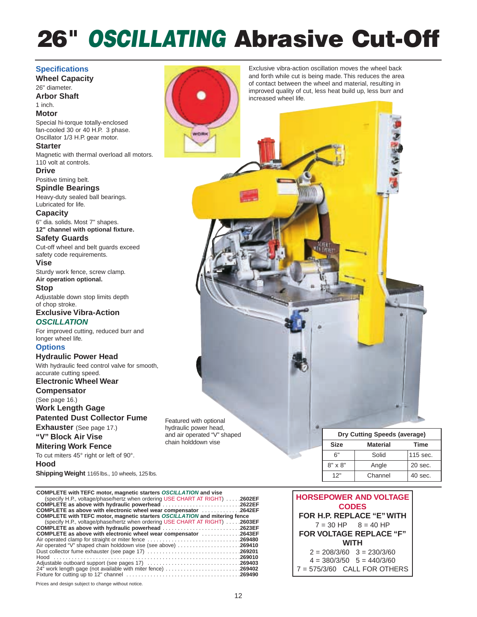# **26"** *OSCILLATING* **Abrasive Cut-Off**

WORK

**Specifications Wheel Capacity** 26" diameter. **Arbor Shaft** 1 inch. **Motor** Special hi-torque totally-enclosed fan-cooled 30 or 40 H.P. 3 phase. Oscillator 1/3 H.P. gear motor. **Starter** Magnetic with thermal overload all motors. 110 volt at controls. **Drive** Positive timing belt. **Spindle Bearings** Heavy-duty sealed ball bearings. Lubricated for life. **Capacity** 6" dia. solids. Most 7" shapes. **12" channel with optional fixture. Safety Guards** Cut-off wheel and belt guards exceed safety code requirements. **Vise** Sturdy work fence, screw clamp. **Air operation optional. Stop** Adjustable down stop limits depth of chop stroke. **Exclusive Vibra-Action OSCILLATION** For improved cutting, reduced burr and longer wheel life. **Options Hydraulic Power Head** With hydraulic feed control valve for smooth, accurate cutting speed. **Electronic Wheel Wear Compensator** (See page 16.) **Work Length Gage Patented Dust Collector Fume**

**Exhauster** (See page 17.) **"V" Block Air Vise**

**Mitering Work Fence** To cut miters 45° right or left of 90°. **Hood**

**Shipping Weight** 1165 lbs., 10 wheels, 125 lbs.

| <b>COMPLETE with TEFC motor, magnetic starters OSCILLATION and vise</b>      |  |
|------------------------------------------------------------------------------|--|
| (specify H.P., voltage/phase/hertz when ordering USE CHART AT RIGHT)  2602EF |  |
| <b>COMPLETE</b> as above with hydraulic powerhead 2622EF                     |  |
| <b>COMPLETE</b> as above with electronic wheel wear compensator 2642EF       |  |
| COMPLETE with TEFC motor, magnetic starters OSCILLATION and mitering fence   |  |
| (specify H.P., voltage/phase/hertz when ordering USE CHART AT RIGHT)  2603EF |  |
| COMPLETE as above with hydraulic powerhead 2623EF                            |  |
| <b>COMPLETE</b> as above with electronic wheel wear compensator 2643EF       |  |
| <b>Air operated clamp for straight or miter fence 269480</b>                 |  |
| Air operated "V" shaped chain holddown vise (see above) 269410               |  |
| Dust collector fume exhauster (see page 17) 269201                           |  |
|                                                                              |  |
| Adjustable outboard support (see pages 17) 269403                            |  |
| 24" work length gage (not available with miter fence) 269402                 |  |
|                                                                              |  |

Prices and design subject to change without notice.



Featured with optional hydraulic power head, and air operated "V" shaped chain holddown vise

Exclusive vibra-action oscillation moves the wheel back and forth while cut is being made. This reduces the area of contact between the wheel and material, resulting in improved quality of cut, less heat build up, less burr and increased wheel life.

> **Dry Cutting Speeds (average) Size Material Time** 6" Solid 115 sec.  $8" \times 8"$  Angle 20 sec. 12" Channel 40 sec.

#### **HORSEPOWER AND VOLTAGE CODES FOR H.P. REPLACE "E" WITH**  $7 = 30$  HP  $8 = 40$  HP **FOR VOLTAGE REPLACE "F" WITH**  $2 = 208/3/60$   $3 = 230/3/60$  $4 = 380/3/50$   $5 = 440/3/60$ 7 = 575/3/60 CALL FOR OTHERS

| ۰, | × |
|----|---|
|    | ٦ |
|    |   |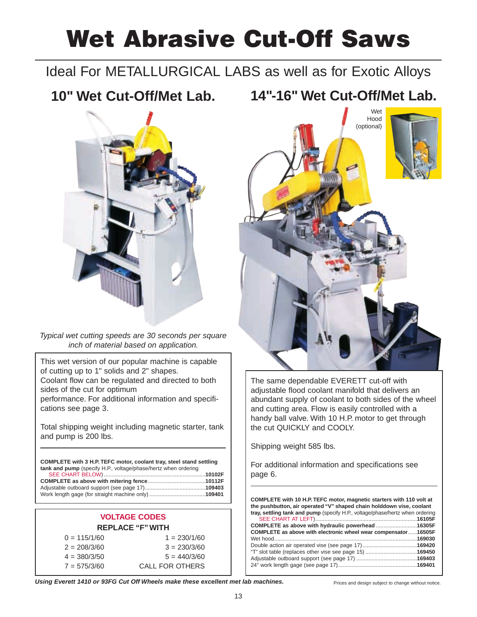# **Wet Abrasive Cut-Off Saws**

## Ideal For METALLURGICAL LABS as well as for Exotic Alloys

# **10" Wet Cut-Off/Met Lab.**



Typical wet cutting speeds are 30 seconds per square inch of material based on application.

This wet version of our popular machine is capable of cutting up to 1" solids and 2" shapes. Coolant flow can be regulated and directed to both sides of the cut for optimum performance. For additional information and specifications see page 3.

Total shipping weight including magnetic starter, tank and pump is 200 lbs.

**COMPLETE with 3 H.P. TEFC motor, coolant tray, steel stand settling tank and pump** (specify H.P., voltage/phase/hertz when ordering

#### **VOLTAGE CODES REPLACE "F" WITH**  $0 = 115/1/60$  1 = 230/1/60  $2 = 208/3/60$   $3 = 230/3/60$  $4 = 380/3/50$   $5 = 440/3/60$ 7 = 575/3/60 CALL FOR OTHERS





The same dependable EVERETT cut-off with adjustable flood coolant manifold that delivers an abundant supply of coolant to both sides of the wheel and cutting area. Flow is easily controlled with a handy ball valve. With 10 H.P. motor to get through the cut QUICKLY and COOLY.

Shipping weight 585 lbs.

For additional information and specifications see page 6.

**COMPLETE with 10 H.P. TEFC motor, magnetic starters with 110 volt at the pushbutton, air operated "V" shaped chain holddown vise, coolant tray, settling tank and pump** (specify H.P., voltage/phase/hertz when ordering SEE CHART AT LEFT)...................................................................**16105F** COMPLETE as above with hydraulic powerhead ....... **COMPLETE as above with electronic wheel wear compensator**......**16505F** Wet hood.... Double action air operated vise (see page 17)....................................**169420** "T" slot table (replaces other vise see page 15) ..................................**169450** Adjustable outboard support (see page 17) ........................................**169403** 24" work length gage (see page 17)....................................................**169401**

Using Everett 1410 or 93FG Cut Off Wheels make these excellent met lab machines.<br> **Using Everett 1410 or 93FG Cut Off Wheels make these excellent met lab machines.**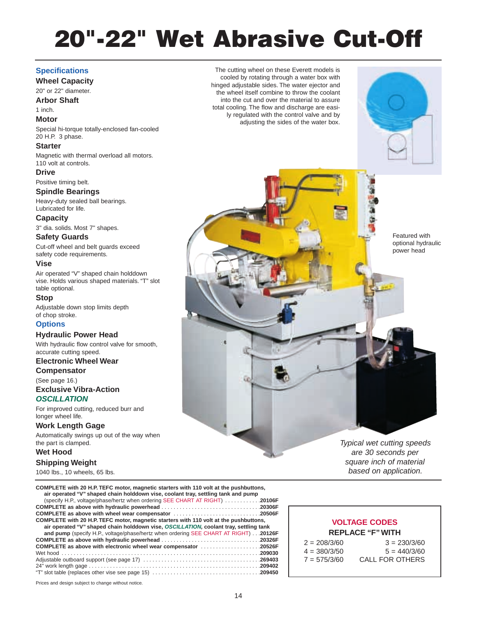# **20"-22" Wet Abrasive Cut-Off**

The cutting wheel on these Everett models is cooled by rotating through a water box with hinged adjustable sides. The water ejector and the wheel itself combine to throw the coolant into the cut and over the material to assure total cooling. The flow and discharge are easily regulated with the control valve and by adjusting the sides of the water box.

#### **Specifications**

#### **Wheel Capacity**

20" or 22" diameter.

**Arbor Shaft**

### 1 inch.

**Motor**

Special hi-torque totally-enclosed fan-cooled 20 H.P. 3 phase.

#### **Starter**

Magnetic with thermal overload all motors. 110 volt at controls.

#### **Drive**

Positive timing belt.

#### **Spindle Bearings**

Heavy-duty sealed ball bearings. Lubricated for life.

#### **Capacity**

3" dia. solids. Most 7" shapes.

#### **Safety Guards**

Cut-off wheel and belt guards exceed safety code requirements.

#### **Vise**

Air operated "V" shaped chain holddown vise. Holds various shaped materials. "T" slot table optional.

#### **Stop**

Adjustable down stop limits depth of chop stroke.

#### **Options**

#### **Hydraulic Power Head**

With hydraulic flow control valve for smooth, accurate cutting speed.

#### **Electronic Wheel Wear Compensator**

(See page 16.)

#### **Exclusive Vibra-Action OSCILLATION**

For improved cutting, reduced burr and longer wheel life.

#### **Work Length Gage**

Automatically swings up out of the way when the part is clamped.

#### **Wet Hood**

**Shipping Weight**

1040 lbs., 10 wheels, 65 lbs.

| COMPLETE with 20 H.P. TEFC motor, magnetic starters with 110 volt at the pushbuttons,<br>air operated "V" shaped chain holddown vise, coolant tray, settling tank and pump |  |
|----------------------------------------------------------------------------------------------------------------------------------------------------------------------------|--|
| (specify H.P., voltage/phase/hertz when ordering SEE CHART AT RIGHT) 20106F                                                                                                |  |
|                                                                                                                                                                            |  |
| COMPLETE as above with wheel wear compensator 20506F                                                                                                                       |  |
| COMPLETE with 20 H.P. TEFC motor, magnetic starters with 110 volt at the pushbuttons,                                                                                      |  |
| air operated "V" shaped chain holddown vise, OSCILLATION, coolant tray, settling tank                                                                                      |  |
| and pump (specify H.P., voltage/phase/hertz when ordering SEE CHART AT RIGHT) 20126F                                                                                       |  |
| COMPLETE as above with hydraulic powerhead 20326F                                                                                                                          |  |
| COMPLETE as above with electronic wheel wear compensator 20526F                                                                                                            |  |
|                                                                                                                                                                            |  |
|                                                                                                                                                                            |  |
|                                                                                                                                                                            |  |
|                                                                                                                                                                            |  |

## **VOLTAGE CODES REPLACE "F" WITH**  $2 = 208/3/60$   $3 = 230/3/60$

| -------        |      |
|----------------|------|
| $4 = 380/3/50$ |      |
| $7 = 575/3/60$ | CALI |

 $5 = 440/3/60$ **FOR OTHERS** 

Prices and design subject to change without notice.

Featured with optional hydraulic power head

Typical wet cutting speeds are 30 seconds per square inch of material based on application.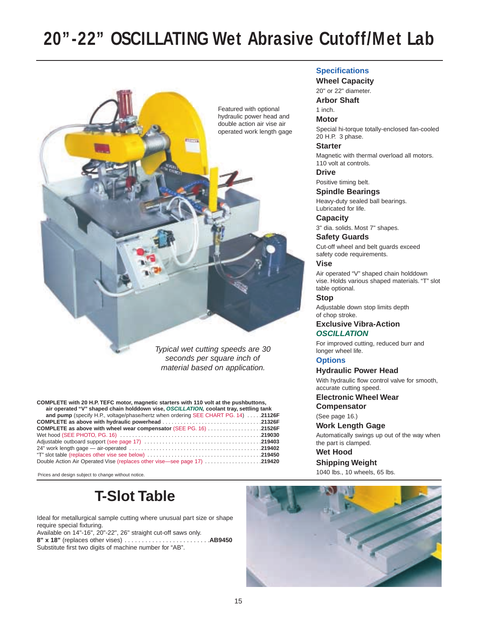# **20"-22" OSCILLATING Wet Abrasive Cutoff/Met Lab**



seconds per square inch of material based on application.

**COMPLETE with 20 H.P. TEFC motor, magnetic starters with 110 volt at the pushbuttons, air operated "V" shaped chain holddown vise, OSCILLATION, coolant tray, settling tank** 

| and pump (specify H.P., voltage/phase/hertz when ordering SEE CHART PG. 14)  21126F |  |
|-------------------------------------------------------------------------------------|--|
|                                                                                     |  |
| COMPLETE as above with wheel wear compensator (SEE PG. 16) 21526F                   |  |
|                                                                                     |  |
|                                                                                     |  |
|                                                                                     |  |
|                                                                                     |  |
| <b>Double Action Air Operated Vise (replaces other vise—see page 17) 219420</b>     |  |

Prices and design subject to change without notice.

# **T-Slot Table**

Ideal for metallurgical sample cutting where unusual part size or shape require special fixturing.

Available on 14"-16", 20"-22", 26" straight cut-off saws only.

**8" x 18"** (replaces other vises) . . . . . . . . . . . . . . . . . . . . . . . . .**AB9450** Substitute first two digits of machine number for "AB".

#### **Specifications**

**Wheel Capacity**

20" or 22" diameter. **Arbor Shaft**

1 inch.

#### **Motor**

Special hi-torque totally-enclosed fan-cooled 20 H.P. 3 phase.

#### **Starter**

Magnetic with thermal overload all motors. 110 volt at controls.

**Drive**

Positive timing belt.

#### **Spindle Bearings**

Heavy-duty sealed ball bearings. Lubricated for life.

**Capacity**

3" dia. solids. Most 7" shapes.

#### **Safety Guards**

Cut-off wheel and belt guards exceed safety code requirements.

#### **Vise**

Air operated "V" shaped chain holddown vise. Holds various shaped materials. "T" slot table optional.

#### **Stop**

Adjustable down stop limits depth of chop stroke.

#### **Exclusive Vibra-Action OSCILLATION**

For improved cutting, reduced burr and longer wheel life.

#### **Options**

#### **Hydraulic Power Head**

With hydraulic flow control valve for smooth, accurate cutting speed.

**Electronic Wheel Wear**

**Compensator** (See page 16.)

#### **Work Length Gage**

Automatically swings up out of the way when the part is clamped.

**Wet Hood**

### **Shipping Weight**

1040 lbs., 10 wheels, 65 lbs.

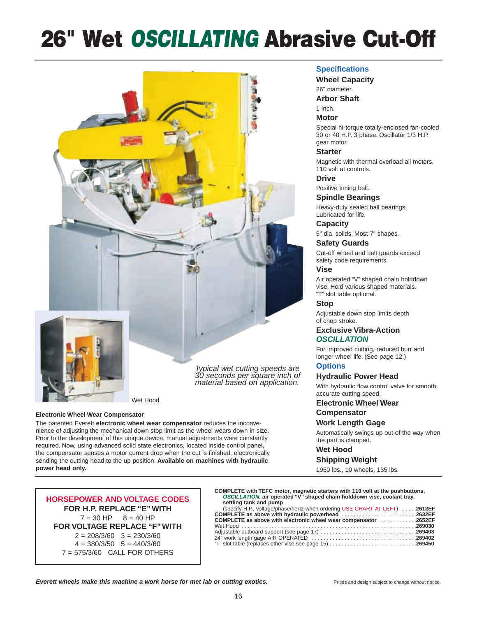# **26" Wet** *OSCILLATING* **Abrasive Cut-Off**



Wet Hood

#### **Electronic Wheel Wear Compensator**

The patented Everett **electronic wheel wear compensator** reduces the inconvenience of adjusting the mechanical down stop limit as the wheel wears down in size. Prior to the development of this unique device, manual adjustments were constantly required. Now, using advanced solid state electronics, located inside control panel, the compensator senses a motor current drop when the cut is finished, electronically sending the cutting head to the up position. **Available on machines with hydraulic power head only.**

#### **Specifications**

#### **Wheel Capacity**

26" diameter.

**Arbor Shaft**

#### 1 inch.

#### **Motor**

Special hi-torque totally-enclosed fan-cooled 30 or 40 H.P. 3 phase. Oscillator 1/3 H.P. gear motor.

#### **Starter**

Magnetic with thermal overload all motors. 110 volt at controls.

#### **Drive**

Positive timing belt.

#### **Spindle Bearings**

Heavy-duty sealed ball bearings. Lubricated for life.

#### **Capacity**

5" dia. solids. Most 7" shapes.

#### **Safety Guards**

Cut-off wheel and belt guards exceed safety code requirements.

#### **Vise**

Air operated "V" shaped chain holddown vise. Hold various shaped materials. "T" slot table optional.

#### **Stop**

Adjustable down stop limits depth of chop stroke.

#### **Exclusive Vibra-Action OSCILLATION**

For improved cutting, reduced burr and longer wheel life. (See page 12.)

#### **Options**

#### **Hydraulic Power Head**

With hydraulic flow control valve for smooth, accurate cutting speed.

#### **Electronic Wheel Wear Compensator**

**Work Length Gage**

Automatically swings up out of the way when the part is clamped.

#### **Wet Hood**

#### **Shipping Weight**

1950 lbs., 10 wheels, 135 lbs.

**HORSEPOWER AND VOLTAGE CODES FOR H.P. REPLACE "E" WITH**  $7 = 30$  HP  $8 = 40$  HP **FOR VOLTAGE REPLACE "F" WITH**  $2 = 208/3/60$   $3 = 230/3/60$  $4 = 380/3/50$   $5 = 440/3/60$ 7 = 575/3/60 CALL FOR OTHERS

**COMPLETE with TEFC motor, magnetic starters with 110 volt at the pushbuttons, OSCILLATION, air operated "V" shaped chain holddown vise, coolant tray, settling tank and pump** 

| (specify H.P., voltage/phase/hertz when ordering USE CHART AT LEFT) 2612EF |  |
|----------------------------------------------------------------------------|--|
| COMPLETE as above with hydraulic powerhead 2632EF                          |  |
| COMPLETE as above with electronic wheel wear compensator 2652EF            |  |
|                                                                            |  |
| <b>Adjustable outboard support (see page 17) 269403</b>                    |  |
|                                                                            |  |
| "T" slot table (replaces other vise see page 15) 269450                    |  |
|                                                                            |  |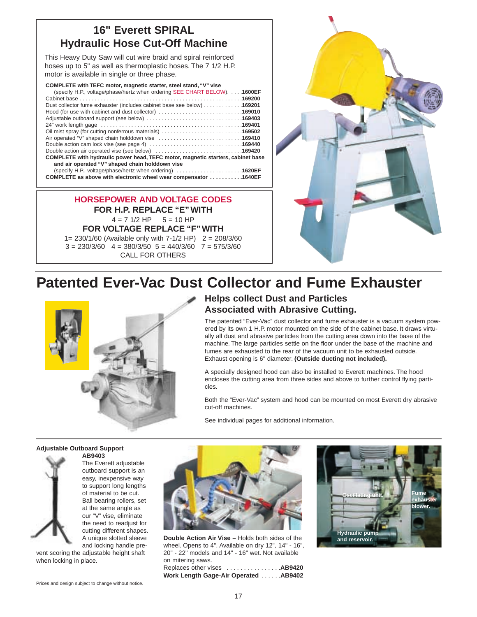## **16" Everett SPIRAL Hydraulic Hose Cut-Off Machine**

This Heavy Duty Saw will cut wire braid and spiral reinforced hoses up to 5" as well as thermoplastic hoses. The 7 1/2 H.P. motor is available in single or three phase.

| COMPLETE with TEFC motor, magnetic starter, steel stand, "V" vise                                           |  |  |
|-------------------------------------------------------------------------------------------------------------|--|--|
| (specify H.P., voltage/phase/hertz when ordering SEE CHART BELOW). 1600EF                                   |  |  |
|                                                                                                             |  |  |
| Dust collector fume exhauster (includes cabinet base see below) 169201                                      |  |  |
| Hood (for use with cabinet and dust collector) 169010                                                       |  |  |
|                                                                                                             |  |  |
|                                                                                                             |  |  |
| Oil mist spray (for cutting nonferrous materials) 169502                                                    |  |  |
| Air operated "V" shaped chain holddown vise 169410                                                          |  |  |
|                                                                                                             |  |  |
| Double action air operated vise (see below) 169420                                                          |  |  |
| COMPLETE with hydraulic power head, TEFC motor, magnetic starters, cabinet base                             |  |  |
| and air operated "V" shaped chain holddown vise                                                             |  |  |
| (specify H.P., voltage/phase/hertz when ordering) $\ldots \ldots \ldots \ldots \ldots \ldots \ldots$ 1620EF |  |  |
| COMPLETE as above with electronic wheel wear compensator 1640EF                                             |  |  |

**HORSEPOWER AND VOLTAGE CODES FOR H.P. REPLACE "E" WITH**  $4 = 7$  1/2 HP  $5 = 10$  HP **FOR VOLTAGE REPLACE "F" WITH**

1= 230/1/60 (Available only with 7-1/2 HP) 2 = 208/3/60  $3 = 230/3/60$   $4 = 380/3/50$   $5 = 440/3/60$   $7 = 575/3/60$ CALL FOR OTHERS



# **Patented Ever-Vac Dust Collector and Fume Exhauster**



## **Helps collect Dust and Particles Associated with Abrasive Cutting.**

The patented "Ever-Vac" dust collector and fume exhauster is a vacuum system powered by its own 1 H.P. motor mounted on the side of the cabinet base. It draws virtually all dust and abrasive particles from the cutting area down into the base of the machine. The large particles settle on the floor under the base of the machine and fumes are exhausted to the rear of the vacuum unit to be exhausted outside. Exhaust opening is 6" diameter. **(Outside ducting not included).**

A specially designed hood can also be installed to Everett machines. The hood encloses the cutting area from three sides and above to further control flying particles.

Both the "Ever-Vac" system and hood can be mounted on most Everett dry abrasive cut-off machines.

See individual pages for additional information.

#### **Adjustable Outboard Support**



**AB9403** The Everett adjustable outboard support is an easy, inexpensive way to support long lengths of material to be cut. Ball bearing rollers, set at the same angle as our "V" vise, eliminate the need to readjust for cutting different shapes. A unique slotted sleeve and locking handle pre-

vent scoring the adjustable height shaft when locking in place.



**Double Action Air Vise –** Holds both sides of the wheel. Opens to 4". Available on dry 12", 14" - 16", 20" - 22" models and 14" - 16" wet. Not available on mitering saws.

Replaces other vises . . . . . . . . . . . . . . . .**AB9420 Work Length Gage-Air Operated** . . . . . .**AB9402**

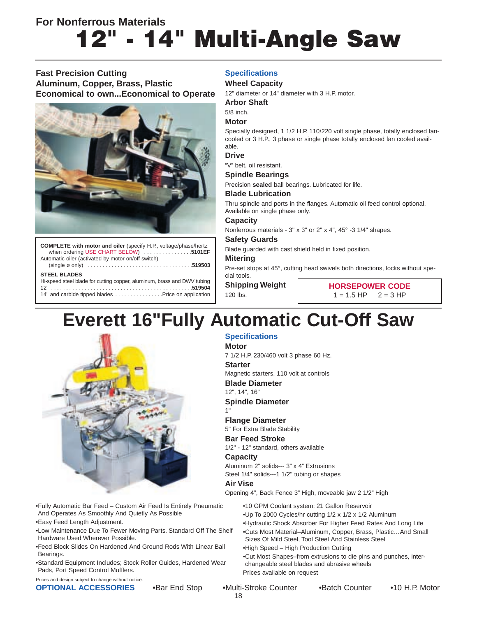# **14" Multi-Angle Saw For Nonferrous Materials**

#### **Fast Precision Cutting Aluminum, Copper, Brass, Plastic Economical to own...Economical to Operate**



**COMPLETE with motor and oiler** (specify H.P., voltage/phase/hertz when ordering USE CHART BELOW) . . . . . . . . . . . . . . . .**5101EF** Automatic oiler (activated by motor on/off switch)

(single ø only) . . . . . . . . . . . . . . . . . . . . . . . . . . . . . . . . . . .**519503**

#### **STEEL BLADES**

Hi-speed steel blade for cutting copper, aluminum, brass and DWV tubing 12" . . . . . . . . . . . . . . . . . . . . . . . . . . . . . . . . . . . . . . . . . . . . . . .**519504** 14" and carbide tipped blades . . . . . . . . . . . . . . . . Price on application **Specifications**

#### **Wheel Capacity**

12" diameter or 14" diameter with 3 H.P. motor.

#### **Arbor Shaft**

#### 5/8 inch.

#### **Motor**

Specially designed, 1 1/2 H.P. 110/220 volt single phase, totally enclosed fancooled or 3 H.P., 3 phase or single phase totally enclosed fan cooled available.

#### **Drive**

"V" belt, oil resistant.

#### **Spindle Bearings**

Precision **sealed** ball bearings. Lubricated for life.

#### **Blade Lubrication**

Thru spindle and ports in the flanges. Automatic oil feed control optional. Available on single phase only.

#### **Capacity**

Nonferrous materials - 3" x 3" or 2" x 4", 45° -3 1/4" shapes.

#### **Safety Guards**

Blade guarded with cast shield held in fixed position.

#### **Mitering**

Pre-set stops at 45°, cutting head swivels both directions, locks without special tools.

**Shipping Weight** 120 lbs.

**Specifications**

**Blade Diameter** 12", 14", 16"

**Spindle Diameter**

**Flange Diameter** 5" For Extra Blade Stability **Bar Feed Stroke**

7 1/2 H.P. 230/460 volt 3 phase 60 Hz.

Magnetic starters, 110 volt at controls

1/2" - 12" standard, others available

Aluminum 2" solids--- 3" x 4" Extrusions Steel 1/4" solids---1 1/2" tubing or shapes

**HORSEPOWER CODE**  $1 = 1.5$  HP  $2 = 3$  HP

# **Everett 16"Fully Automatic Cut-Off Saw**

**Motor**

**Starter**

**Capacity**

**Air Vise**

1"



•Fully Automatic Bar Feed – Custom Air Feed Is Entirely Pneumatic And Operates As Smoothly And Quietly As Possible

•Easy Feed Length Adjustment.

•Low Maintenance Due To Fewer Moving Parts. Standard Off The Shelf Hardware Used Wherever Possible.

•Feed Block Slides On Hardened And Ground Rods With Linear Ball Bearings.

•Standard Equipment Includes; Stock Roller Guides, Hardened Wear Pads, Port Speed Control Mufflers.

Prices and design subject to change without notice.

**OPTIONAL ACCESSORIES** • Bar End Stop • Multi-Stroke Counter • Batch Counter • 10 H.P. Motor

Prices available on request

•High Speed – High Production Cutting

Opening 4", Back Fence 3" High, moveable jaw 2 1/2" High

•10 GPM Coolant system: 21 Gallon Reservoir •Up To 2000 Cycles/hr cutting 1/2 x 1/2 x 1/2 Aluminum

Sizes Of Mild Steel, Tool Steel And Stainless Steel

changeable steel blades and abrasive wheels

•Hydraulic Shock Absorber For Higher Feed Rates And Long Life •Cuts Most Material–Aluminum, Copper, Brass, Plastic…And Small

•Cut Most Shapes–from extrusions to die pins and punches, inter-

18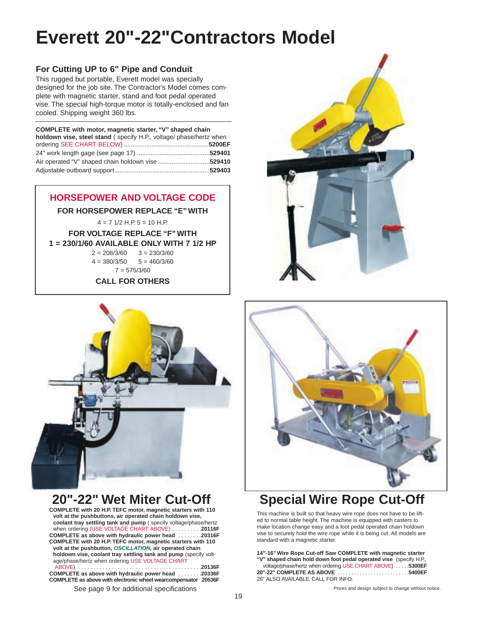# **Everett 20"-22"Contractors Model**

### **For Cutting UP to 6" Pipe and Conduit**

This rugged but portable, Everett model was specially designed for the job site. The Contractor's Model comes complete with magnetic starter, stand and foot pedal operated vise. The special high-torque motor is totally-enclosed and fan cooled. Shipping weight 360 lbs.

| COMPLETE with motor, magnetic starter, "V" shaped chain            |  |  |
|--------------------------------------------------------------------|--|--|
| holdown vise, steel stand (specify H.P., voltage/ phase/hertz when |  |  |
|                                                                    |  |  |
|                                                                    |  |  |
| Air operated "V" shaped chain holdown vise 529410                  |  |  |
|                                                                    |  |  |

### **HORSEPOWER AND VOLTAGE CODE**

**FOR HORSEPOWER REPLACE "E" WITH** 

 $4 = 7$  1/2 H.P.  $5 = 10$  H.P.

**FOR VOLTAGE REPLACE "F" WITH 1 = 230/1/60 AVAILABLE ONLY WITH 7 1/2 HP**

> $2 = 208/3/60$   $3 = 230/3/60$  $4 = 380/3/50$   $5 = 460/3/60$  $7 = 575/3/60$

**CALL FOR OTHERS**



## **20"-22" Wet Miter Cut-Off**

**COMPLETE with 20 H.P. TEFC motor, magnetic starters with 110 volt at the pushbuttons, air operated chain holdown vise, coolant tray settling tank and pump** ( specify voltage/phase/hertz when ordering (USE VOLTAGE CHART ABOVE) . . . . . . . . . .**20116F COMPLETE as above with hydraulic power head** . . . . . . . .**20316F COMPLETE with 20 H.P. TEFC motor, magnetic starters with 110 volt at the pushbutton, OSCILLATION, air operated chain holdown vise, coolant tray settling tank and pump** (specify voltage/phase/hertz when ordering USE VOLTAGE CHART ABOVE) . . . . . . . . . . . . . . . . . . . . . . . . . . . . . . . . . . . . . . . . .**20136F COMPLETE as above with hydraulic power head** . . . . . . . .**20336F**

**COMPLETE as above with electronic wheel wearcompensator** .**20536F**





# **Special Wire Rope Cut-Off**

This machine is built so that heavy wire rope does not have to be lifted to normal table height. The machine is equipped with casters to make location change easy and a foot pedal operated chain holdown vise to securely hold the wire rope while it is being cut. All models are standard with a magnetic starter.

**14"-16" Wire Rope Cut-off Saw COMPLETE with magnetic starter "V" shaped chain hold down foot pedal operated vise** (specify H.P., voltage/phase/hertz when ordering USE CHART ABOVE) . . . . .**5300EF 20"-22" COMPLETE AS ABOVE** 26" ALSO AVAILABLE. CALL FOR INFO.